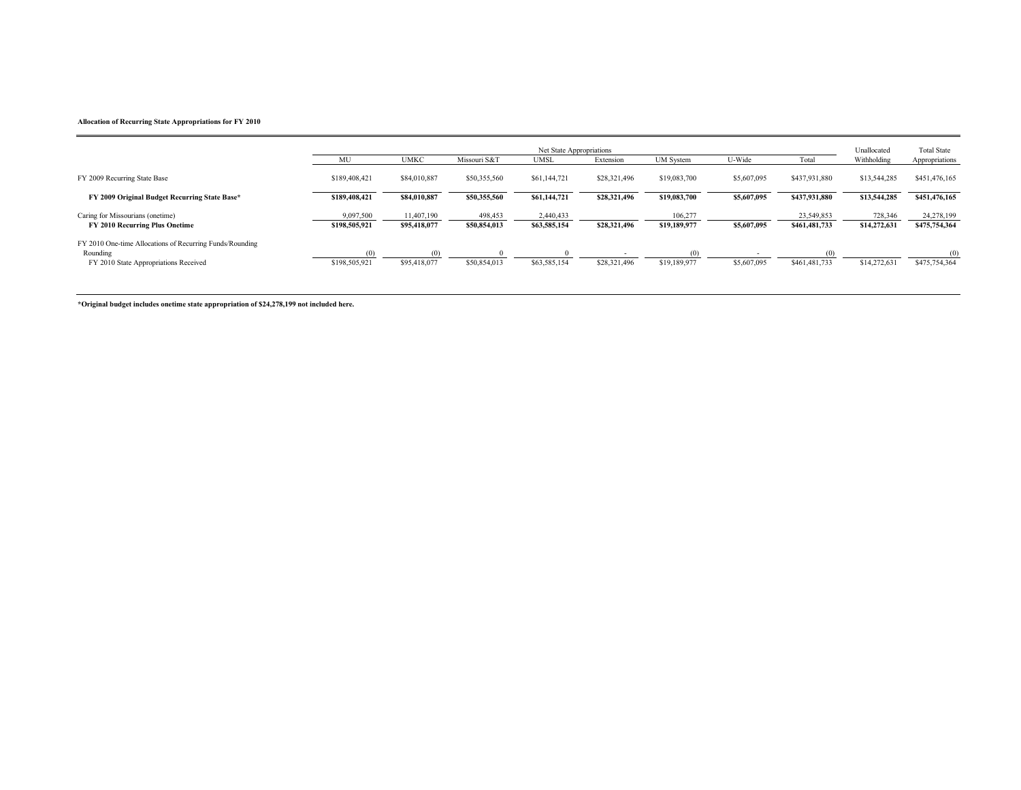|                                                                                                               |                            |                            | Unallocated             | <b>Total State</b>        |                                          |                         |             |                             |                         |                             |
|---------------------------------------------------------------------------------------------------------------|----------------------------|----------------------------|-------------------------|---------------------------|------------------------------------------|-------------------------|-------------|-----------------------------|-------------------------|-----------------------------|
|                                                                                                               | MU                         | <b>UMKC</b>                | Missouri S&T            | <b>UMSL</b>               | Extension                                | <b>UM</b> System        | U-Wide      | Total                       | Withholding             | Appropriations              |
| FY 2009 Recurring State Base                                                                                  | \$189,408,421              | \$84,010,887               | \$50,355,560            | \$61,144,721              | \$28,321,496                             | \$19,083,700            | \$5,607,095 | \$437,931,880               | \$13,544,285            | \$451,476,165               |
| FY 2009 Original Budget Recurring State Base*                                                                 | \$189,408,421              | \$84,010,887               | \$50,355,560            | \$61,144,721              | \$28,321,496                             | \$19,083,700            | \$5,607,095 | \$437,931,880               | \$13,544,285            | \$451,476,165               |
| Caring for Missourians (onetime)<br>FY 2010 Recurring Plus Onetime                                            | 9.097.500<br>\$198,505,921 | 11,407,190<br>\$95,418,077 | 498,453<br>\$50,854,013 | 2.440.433<br>\$63,585,154 | \$28,321,496                             | 106,277<br>\$19,189,977 | \$5,607,095 | 23,549,853<br>\$461,481,733 | 728,346<br>\$14,272,631 | 24,278,199<br>\$475,754,364 |
| FY 2010 One-time Allocations of Recurring Funds/Rounding<br>Rounding<br>FY 2010 State Appropriations Received | \$198,505,921              | \$95,418,077               | \$50,854,013            | \$63,585,154              | $\overline{\phantom{a}}$<br>\$28,321,496 | \$19,189,977            | \$5,607,095 | \$461,481,733               | \$14,272,631            | (0)<br>\$475,754,364        |

**\*Original budget includes onetime state appropriation of \$24,278,199 not included here.**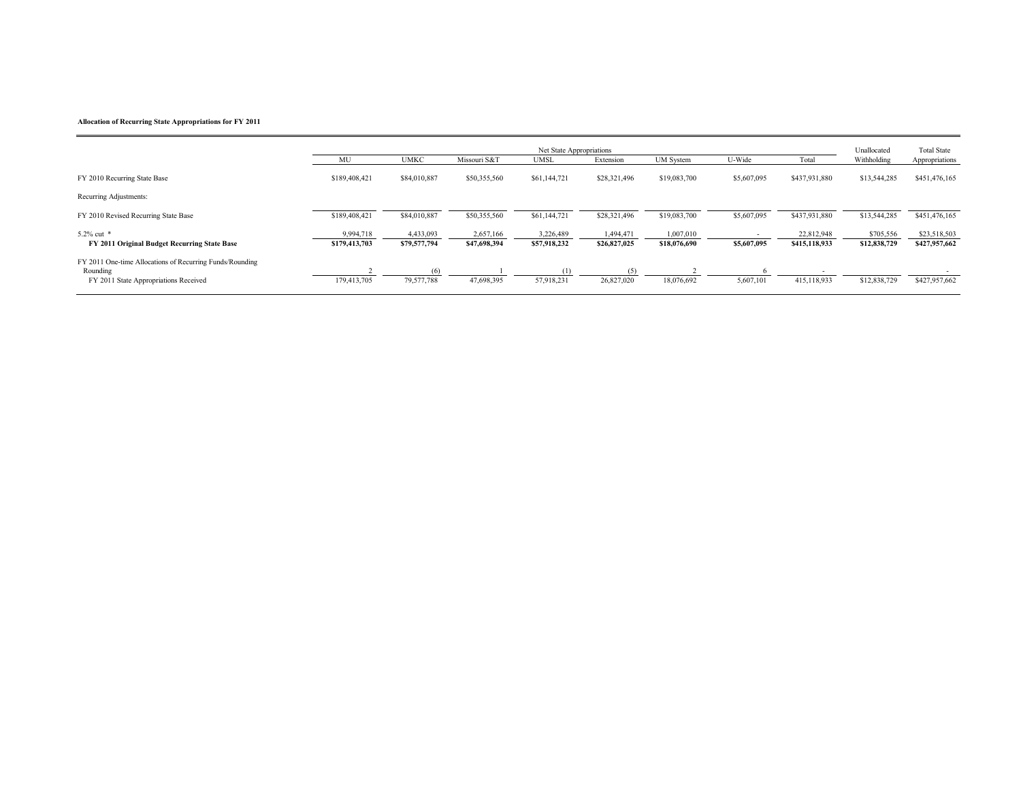|                                                                                                               |                            |                           | Unallocated               | <b>Total State</b>        |                           |                           |             |                             |                           |                               |
|---------------------------------------------------------------------------------------------------------------|----------------------------|---------------------------|---------------------------|---------------------------|---------------------------|---------------------------|-------------|-----------------------------|---------------------------|-------------------------------|
|                                                                                                               | МU                         | <b>JMKC</b>               | Missouri S&T              | UMSL                      | Extension                 | <b>UM</b> System          | U-Wide      | Total                       | Withholding               | Appropriations                |
| FY 2010 Recurring State Base                                                                                  | \$189,408,421              | \$84,010,887              | \$50,355,560              | \$61,144,721              | \$28,321,496              | \$19,083,700              | \$5,607,095 | \$437,931,880               | \$13,544,285              | \$451,476,165                 |
| Recurring Adjustments:                                                                                        |                            |                           |                           |                           |                           |                           |             |                             |                           |                               |
| FY 2010 Revised Recurring State Base                                                                          | \$189,408,421              | \$84,010,887              | \$50,355,560              | \$61,144,721              | \$28,321,496              | \$19,083,700              | \$5,607,095 | \$437,931,880               | \$13,544,285              | \$451,476,165                 |
| 5.2% cut $*$<br>FY 2011 Original Budget Recurring State Base                                                  | 9.994.718<br>\$179,413,703 | 4,433,093<br>\$79,577,794 | 2,657,166<br>\$47,698,394 | 3.226.489<br>\$57,918,232 | 1,494,471<br>\$26,827,025 | 1,007,010<br>\$18,076,690 | \$5,607,095 | 22,812,948<br>\$415,118,933 | \$705,556<br>\$12,838,729 | \$23,518,503<br>\$427,957,662 |
| FY 2011 One-time Allocations of Recurring Funds/Rounding<br>Rounding<br>FY 2011 State Appropriations Received | 179,413,705                | (6)<br>79,577,788         | 47,698,395                | 57,918,231                | 26,827,020                | 18,076,692                | 5,607,101   | 415,118,933                 | \$12,838,729              | \$427,957,662                 |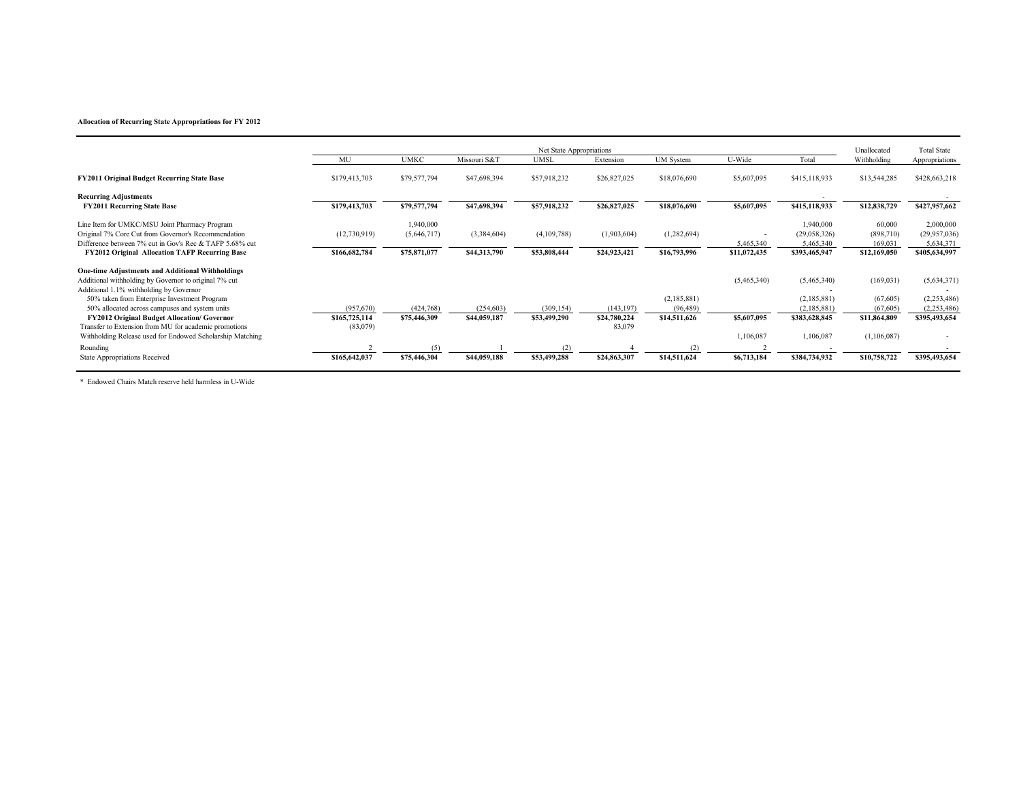|                                                           |               |              | Unallocated  | <b>Total State</b> |              |                  |                          |               |              |                          |
|-----------------------------------------------------------|---------------|--------------|--------------|--------------------|--------------|------------------|--------------------------|---------------|--------------|--------------------------|
|                                                           | MU            | <b>UMKC</b>  | Missouri S&T | <b>UMSL</b>        | Extension    | <b>UM</b> System | U-Wide                   | Total         | Withholding  | Appropriations           |
| <b>FY2011 Original Budget Recurring State Base</b>        | \$179,413,703 | \$79,577,794 | \$47,698,394 | \$57,918,232       | \$26,827,025 | \$18,076,690     | \$5,607,095              | \$415,118,933 | \$13,544,285 | \$428,663,218            |
| <b>Recurring Adjustments</b>                              |               |              |              |                    |              |                  |                          |               |              |                          |
| <b>FY2011 Recurring State Base</b>                        | \$179,413,703 | \$79,577,794 | \$47,698,394 | \$57,918,232       | \$26,827,025 | \$18,076,690     | \$5,607,095              | \$415,118,933 | \$12,838,729 | \$427,957,662            |
| Line Item for UMKC/MSU Joint Pharmacy Program             |               | 1,940,000    |              |                    |              |                  |                          | 1,940,000     | 60,000       | 2,000,000                |
| Original 7% Core Cut from Governor's Recommendation       | (12,730,919)  | (5,646,717)  | (3,384,604)  | (4,109,788)        | (1,903,604)  | (1,282,694)      | $\overline{\phantom{a}}$ | (29,058,326)  | (898, 710)   | (29, 957, 036)           |
| Difference between 7% cut in Gov's Rec & TAFP 5.68% cut   |               |              |              |                    |              |                  | 5,465,340                | 5,465,340     | 169,031      | 5,634,371                |
| <b>FY2012 Original Allocation TAFP Recurring Base</b>     | \$166,682,784 | \$75,871,077 | \$44,313,790 | \$53,808,444       | \$24,923,421 | \$16,793,996     | \$11,072,435             | \$393,465,947 | \$12,169,050 | \$405,634,997            |
| <b>One-time Adjustments and Additional Withholdings</b>   |               |              |              |                    |              |                  |                          |               |              |                          |
| Additional withholding by Governor to original 7% cut     |               |              |              |                    |              |                  | (5,465,340)              | (5,465,340)   | (169, 031)   | (5,634,371)              |
| Additional 1.1% withholding by Governor                   |               |              |              |                    |              |                  |                          |               |              |                          |
| 50% taken from Enterprise Investment Program              |               |              |              |                    |              | (2,185,881)      |                          | (2,185,881)   | (67, 605)    | (2,253,486)              |
| 50% allocated across campuses and system units            | (957,670)     | (424,768)    | (254, 603)   | (309, 154)         | (143, 197)   | (96, 489)        |                          | (2,185,881)   | (67, 605)    | (2,253,486)              |
| FY2012 Original Budget Allocation/ Governor               | \$165,725,114 | \$75,446,309 | \$44,059,187 | \$53,499,290       | \$24,780,224 | \$14,511,626     | \$5,607,095              | \$383,628,845 | \$11,864,809 | \$395,493,654            |
| Transfer to Extension from MU for academic promotions     | (83,079)      |              |              |                    | 83,079       |                  |                          |               |              |                          |
| Withholding Release used for Endowed Scholarship Matching |               |              |              |                    |              |                  | 1,106,087                | 1,106,087     | (1,106,087)  | $\overline{\phantom{a}}$ |
| Rounding                                                  |               | (5)          |              |                    |              |                  |                          |               |              |                          |
| State Appropriations Received                             | \$165,642,037 | \$75,446,304 | \$44,059,188 | \$53,499,288       | \$24,863,307 | \$14,511,624     | \$6,713,184              | \$384,734,932 | \$10,758,722 | \$395,493,654            |

\* Endowed Chairs Match reserve held harmless in U-Wide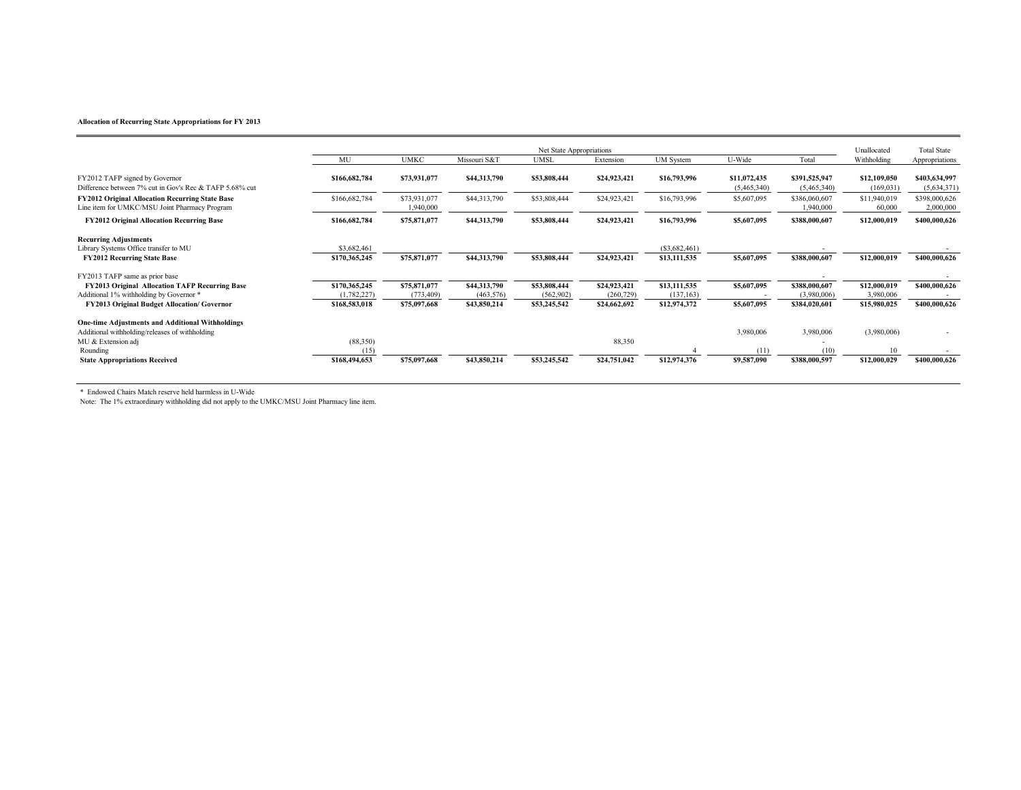|                                                                                                                                                                                     |                                               |                                            | Unallocated                                | <b>Total State</b>                         |                                            |                                            |                                  |                                               |                                           |                                |
|-------------------------------------------------------------------------------------------------------------------------------------------------------------------------------------|-----------------------------------------------|--------------------------------------------|--------------------------------------------|--------------------------------------------|--------------------------------------------|--------------------------------------------|----------------------------------|-----------------------------------------------|-------------------------------------------|--------------------------------|
|                                                                                                                                                                                     | MU                                            | <b>UMKC</b>                                | Missouri S&T                               | <b>UMSL</b>                                | Extension                                  | <b>UM</b> System                           | U-Wide                           | Total                                         | Withholding                               | Appropriations                 |
| FY2012 TAFP signed by Governor<br>Difference between 7% cut in Gov's Rec & TAFP 5.68% cut                                                                                           | \$166,682,784                                 | \$73,931,077                               | \$44,313,790                               | \$53,808,444                               | \$24,923,421                               | \$16,793,996                               | \$11,072,435<br>(5,465,340)      | \$391,525,947<br>(5,465,340)                  | \$12,109,050<br>(169, 031)                | \$403,634,997<br>(5,634,371)   |
| <b>FY2012 Original Allocation Recurring State Base</b><br>Line item for UMKC/MSU Joint Pharmacy Program                                                                             | \$166,682,784                                 | \$73,931,077<br>1,940,000                  | \$44,313,790                               | \$53,808,444                               | \$24,923,421                               | \$16,793,996                               | \$5,607,095                      | \$386,060,607<br>1,940,000                    | \$11,940,019<br>60,000                    | \$398,000,626<br>2,000,000     |
| <b>FY2012 Original Allocation Recurring Base</b>                                                                                                                                    | \$166,682,784                                 | \$75,871,077                               | \$44,313,790                               | \$53,808,444                               | \$24,923,421                               | \$16,793,996                               | \$5,607,095                      | \$388,000,607                                 | \$12,000,019                              | \$400,000,626                  |
| <b>Recurring Adjustments</b><br>Library Systems Office transfer to MU<br><b>FY2012 Recurring State Base</b>                                                                         | \$3,682,461<br>\$170,365,245                  | \$75,871,077                               | \$44,313,790                               | \$53,808,444                               | \$24,923,421                               | (S3, 682, 461)<br>\$13,111,535             | \$5,607,095                      | \$388,000,607                                 | \$12,000,019                              | \$400,000,626                  |
| FY2013 TAFP same as prior base<br><b>FY2013 Original Allocation TAFP Recurring Base</b><br>Additional 1% withholding by Governor *<br>FY2013 Original Budget Allocation/ Governor   | \$170,365,245<br>(1,782,227)<br>\$168,583,018 | \$75,871,077<br>(773, 409)<br>\$75,097,668 | \$44,313,790<br>(463, 576)<br>\$43,850,214 | \$53,808,444<br>(562, 902)<br>\$53,245,542 | \$24,923,421<br>(260, 729)<br>\$24,662,692 | \$13,111,535<br>(137, 163)<br>\$12,974,372 | \$5,607,095<br>\$5,607,095       | \$388,000,607<br>(3.980,006)<br>\$384,020,601 | \$12,000,019<br>3,980,006<br>\$15,980,025 | \$400,000,626<br>\$400,000,626 |
| <b>One-time Adjustments and Additional Withholdings</b><br>Additional withholding/releases of withholding<br>MU & Extension adj<br>Rounding<br><b>State Appropriations Received</b> | (88,350)<br>(15)<br>\$168,494,653             | \$75,097,668                               | \$43,850,214                               | \$53,245,542                               | 88,350<br>\$24,751,042                     | \$12,974,376                               | 3,980,006<br>(11)<br>\$9,587,090 | 3,980,006<br>\$388,000,597                    | (3,980,006)<br>\$12,000,029               | \$400,000,626                  |

\* Endowed Chairs Match reserve held harmless in U-Wide

Note: The 1% extraordinary withholding did not apply to the UMKC/MSU Joint Pharmacy line item.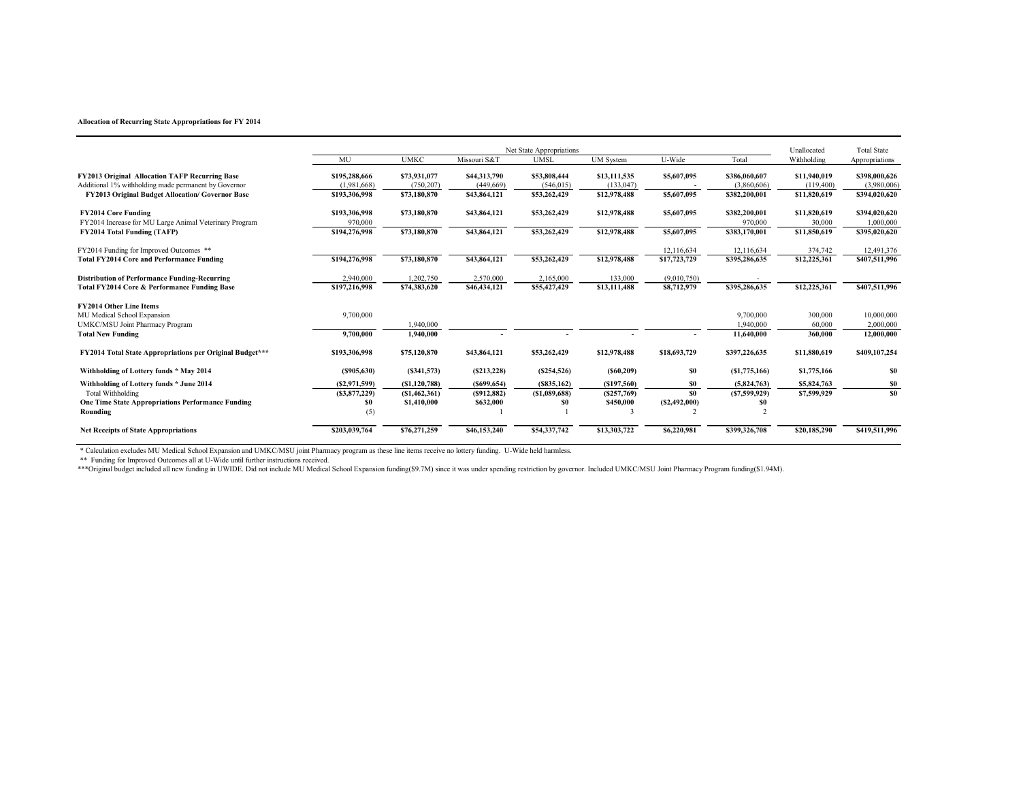|                                                                                                               | Net State Appropriations     |                               |                           |                            |                            |                       |                              | Unallocated                | <b>Total State</b>           |
|---------------------------------------------------------------------------------------------------------------|------------------------------|-------------------------------|---------------------------|----------------------------|----------------------------|-----------------------|------------------------------|----------------------------|------------------------------|
|                                                                                                               | MU                           | <b>UMKC</b>                   | Missouri S&T              | <b>UMSL</b>                | <b>UM</b> System           | U-Wide                | Total                        | Withholding                | Appropriations               |
| <b>FY2013 Original Allocation TAFP Recurring Base</b><br>Additional 1% withholding made permanent by Governor | \$195,288,666<br>(1.981.668) | \$73,931,077<br>(750.207)     | \$44,313,790<br>(449,669) | \$53,808,444<br>(546, 015) | \$13,111,535<br>(133, 047) | \$5,607,095           | \$386,060,607<br>(3,860,606) | \$11,940,019<br>(119,400)  | \$398,000,626<br>(3.980,006) |
| FY2013 Original Budget Allocation/ Governor Base                                                              | \$193,306,998                | \$73,180,870                  | \$43,864,121              | \$53,262,429               | \$12,978,488               | \$5,607,095           | \$382,200,001                | \$11,820,619               | \$394,020,620                |
| <b>FY2014 Core Funding</b><br>FY2014 Increase for MU Large Animal Veterinary Program                          | \$193,306,998<br>970,000     | \$73,180,870                  | \$43,864,121              | \$53,262,429               | \$12,978,488               | \$5,607,095           | \$382,200,001<br>970,000     | \$11,820,619<br>30,000     | \$394,020,620<br>1,000,000   |
| <b>FY2014 Total Funding (TAFP)</b>                                                                            | \$194,276,998                | \$73,180,870                  | \$43,864,121              | \$53,262,429               | \$12,978,488               | \$5,607,095           | \$383,170,001                | \$11,850,619               | \$395,020,620                |
| FY2014 Funding for Improved Outcomes **                                                                       |                              |                               |                           |                            |                            | 12.116.634            | 12.116.634                   | 374,742                    | 12,491,376                   |
| <b>Total FY2014 Core and Performance Funding</b>                                                              | \$194,276,998                | \$73,180,870                  | \$43,864,121              | \$53,262,429               | \$12,978,488               | \$17,723,729          | \$395,286,635                | \$12,225,361               | \$407,511,996                |
| <b>Distribution of Performance Funding-Recurring</b>                                                          | 2.940,000                    | 1,202,750                     | 2,570,000                 | 2,165,000                  | 133,000                    | (9,010,750)           |                              |                            |                              |
| Total FY2014 Core & Performance Funding Base                                                                  | \$197,216,998                | \$74,383,620                  | \$46,434,121              | \$55,427,429               | \$13,111,488               | \$8,712,979           | \$395,286,635                | \$12,225,361               | \$407,511,996                |
| <b>FY2014 Other Line Items</b>                                                                                |                              |                               |                           |                            |                            |                       |                              |                            |                              |
| MU Medical School Expansion<br>UMKC/MSU Joint Pharmacy Program                                                | 9,700,000                    | 1,940,000                     |                           |                            |                            |                       | 9,700,000<br>1,940,000       | 300,000<br>60,000          | 10,000,000<br>2,000,000      |
| <b>Total New Funding</b>                                                                                      | 9,700,000                    | 1,940,000                     |                           |                            |                            |                       | 11,640,000                   | 360,000                    | 12,000,000                   |
| FY2014 Total State Appropriations per Original Budget***                                                      | \$193,306,998                | \$75,120,870                  | \$43,864,121              | \$53,262,429               | \$12,978,488               | \$18,693,729          | \$397,226,635                | \$11,880,619               | \$409,107,254                |
| Withholding of Lottery funds * May 2014                                                                       | (S905, 630)                  | (S341, 573)                   | (S213, 228)               | (S254, 526)                | $($ \$60,209)              | \$0                   | (S1, 775, 166)               | \$1,775,166                | \$0                          |
| Withholding of Lottery funds * June 2014                                                                      | (S2, 971, 599)               | (S1, 120, 788)                | (S699, 654)               | (S835, 162)                | (S197, 560)                | S <sub>0</sub><br>\$0 | (5,824,763)                  | \$5,824,763<br>\$7,599,929 | SO.                          |
| <b>Total Withholding</b><br>One Time State Appropriations Performance Funding                                 | (S3, 877, 229)<br>\$0        | (S1, 462, 361)<br>\$1,410,000 | (S912, 882)<br>\$632,000  | (S1,089,688)<br>S0         | (S257,769)<br>\$450,000    | (S2, 492, 000)        | (S7, 599, 929)<br>\$0        |                            | SO.                          |
| Rounding                                                                                                      | (5)                          |                               |                           |                            |                            |                       |                              |                            |                              |
| <b>Net Receipts of State Appropriations</b>                                                                   | \$203,039,764                | \$76,271,259                  | \$46,153,240              | \$54,337,742               | \$13,303,722               | \$6,220,981           | \$399,326,708                | \$20,185,290               | \$419,511,996                |

\* Calculation excludes MU Medical School Expansion and UMKC/MSU joint Pharmacy program as these line items receive no lottery funding. U-Wide held harmless.

\*\* Funding for Improved Outcomes all at U-Wide until further instructions received.

\*\*\*Original budget included all new funding in UWIDE. Did not include MU Medical School Expansion funding(\$9.7M) since it was under spending restriction by governor. Included UMKC/MSU Joint Pharmacy Program funding(\$1.94M)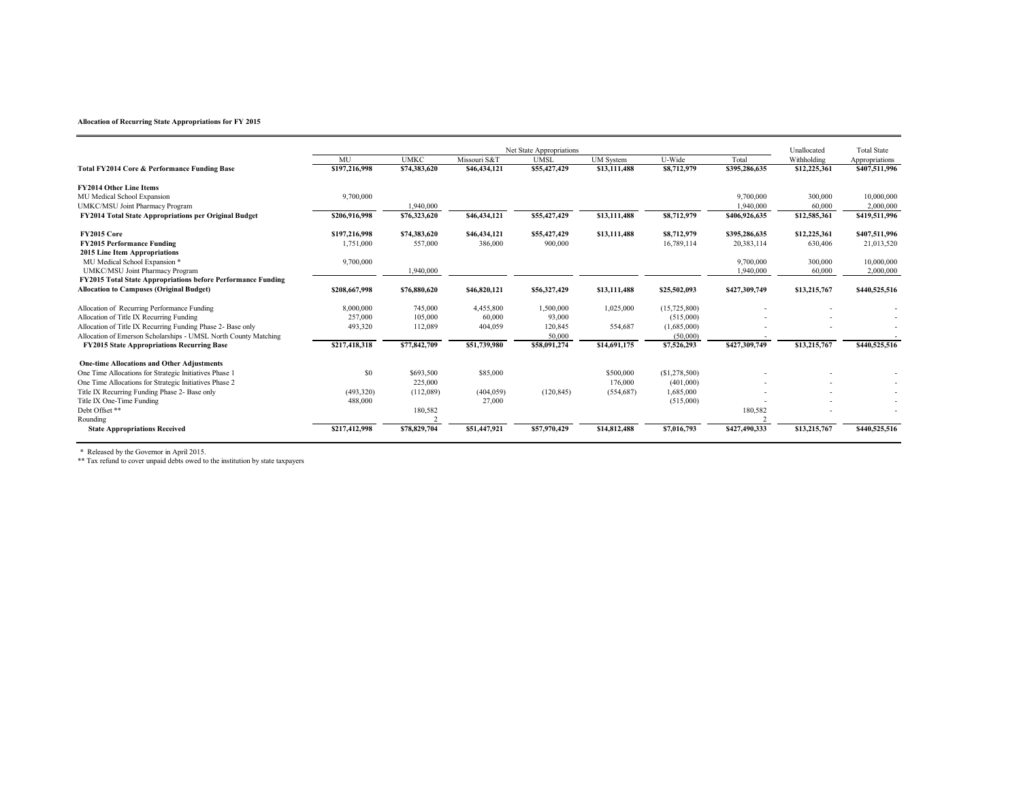|                                                                 | Net State Appropriations |              |              |              |                  |                |               |              | <b>Total State</b> |
|-----------------------------------------------------------------|--------------------------|--------------|--------------|--------------|------------------|----------------|---------------|--------------|--------------------|
|                                                                 | MU                       | <b>UMKC</b>  | Missouri S&T | <b>UMSL</b>  | <b>UM</b> System | U-Wide         | Total         | Withholding  | Appropriations     |
| Total FY2014 Core & Performance Funding Base                    | \$197,216,998            | \$74,383,620 | \$46,434,121 | \$55,427,429 | \$13,111,488     | \$8,712,979    | \$395,286,635 | \$12,225,361 | \$407,511,996      |
| <b>FY2014 Other Line Items</b>                                  |                          |              |              |              |                  |                |               |              |                    |
| MU Medical School Expansion                                     | 9,700,000                |              |              |              |                  |                | 9,700,000     | 300,000      | 10,000,000         |
| UMKC/MSU Joint Pharmacy Program                                 |                          | 1,940,000    |              |              |                  |                | 1,940,000     | 60,000       | 2,000,000          |
| FY2014 Total State Appropriations per Original Budget           | \$206,916,998            | \$76,323,620 | \$46,434,121 | \$55,427,429 | \$13,111,488     | \$8,712,979    | \$406,926,635 | \$12,585,361 | \$419,511,996      |
| <b>FY2015 Core</b>                                              | \$197,216,998            | \$74,383,620 | \$46,434,121 | \$55,427,429 | \$13,111,488     | \$8,712,979    | \$395,286,635 | \$12,225,361 | \$407,511,996      |
| <b>FY2015 Performance Funding</b>                               | 1,751,000                | 557,000      | 386,000      | 900,000      |                  | 16,789,114     | 20,383,114    | 630,406      | 21,013,520         |
| 2015 Line Item Appropriations                                   |                          |              |              |              |                  |                |               |              |                    |
| MU Medical School Expansion *                                   | 9,700,000                |              |              |              |                  |                | 9,700,000     | 300,000      | 10,000,000         |
| <b>UMKC/MSU Joint Pharmacy Program</b>                          |                          | 1,940,000    |              |              |                  |                | 1,940,000     | 60,000       | 2,000,000          |
| FY2015 Total State Appropriations before Performance Funding    |                          |              |              |              |                  |                |               |              |                    |
| <b>Allocation to Campuses (Original Budget)</b>                 | \$208,667,998            | \$76,880,620 | \$46,820,121 | \$56,327,429 | \$13,111,488     | \$25,502,093   | \$427,309,749 | \$13,215,767 | \$440,525,516      |
| Allocation of Recurring Performance Funding                     | 8,000,000                | 745,000      | 4,455,800    | 1,500,000    | 1,025,000        | (15,725,800)   |               |              |                    |
| Allocation of Title IX Recurring Funding                        | 257,000                  | 105,000      | 60,000       | 93,000       |                  | (515,000)      |               |              |                    |
| Allocation of Title IX Recurring Funding Phase 2- Base only     | 493,320                  | 112,089      | 404,059      | 120,845      | 554,687          | (1,685,000)    |               |              |                    |
| Allocation of Emerson Scholarships - UMSL North County Matching |                          |              |              | 50,000       |                  | (50,000)       |               |              |                    |
| <b>FY2015 State Appropriations Recurring Base</b>               | \$217,418,318            | \$77,842,709 | \$51,739,980 | \$58,091,274 | \$14,691,175     | \$7,526,293    | \$427,309,749 | \$13,215,767 | \$440,525,516      |
| <b>One-time Allocations and Other Adjustments</b>               |                          |              |              |              |                  |                |               |              |                    |
| One Time Allocations for Strategic Initiatives Phase 1          | \$0                      | \$693,500    | \$85,000     |              | \$500,000        | (S1, 278, 500) |               |              |                    |
| One Time Allocations for Strategic Initiatives Phase 2          |                          | 225,000      |              |              | 176,000          | (401,000)      |               |              |                    |
| Title IX Recurring Funding Phase 2- Base only                   | (493,320)                | (112,089)    | (404, 059)   | (120, 845)   | (554, 687)       | 1,685,000      |               |              |                    |
| Title IX One-Time Funding                                       | 488,000                  |              | 27,000       |              |                  | (515,000)      |               |              |                    |
| Debt Offset **                                                  |                          | 180,582      |              |              |                  |                | 180,582       |              |                    |
| Rounding                                                        |                          |              |              |              |                  |                |               |              |                    |
| <b>State Appropriations Received</b>                            | \$217,412,998            | \$78,829,704 | \$51,447,921 | \$57,970,429 | \$14,812,488     | \$7,016,793    | \$427,490,333 | \$13,215,767 | \$440,525,516      |

\* Released by the Governor in April 2015. \*\* Tax refund to cover unpaid debts owed to the institution by state taxpayers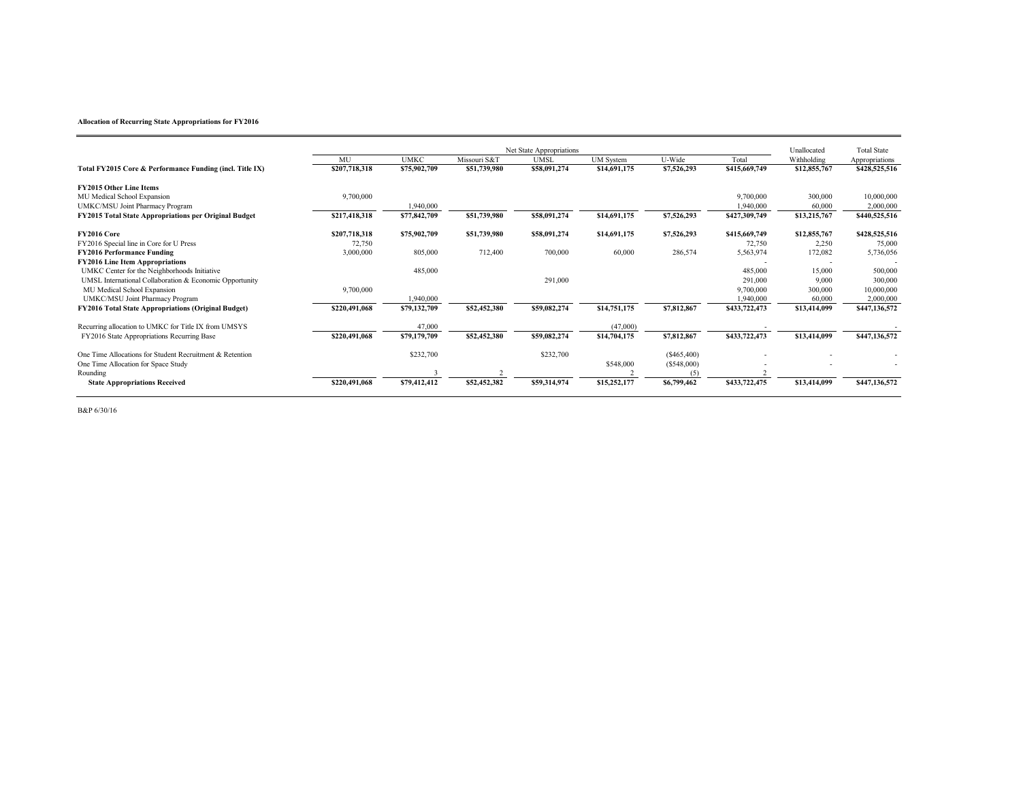|                                                            | Unallocated<br>Net State Appropriations |              |              |              |                  |             |               |              | <b>Total State</b> |
|------------------------------------------------------------|-----------------------------------------|--------------|--------------|--------------|------------------|-------------|---------------|--------------|--------------------|
|                                                            | MU                                      | <b>UMKC</b>  | Missouri S&T | <b>UMSL</b>  | <b>UM</b> System | U-Wide      | Total         | Withholding  | Appropriations     |
| Total FY2015 Core & Performance Funding (incl. Title IX)   | \$207,718,318                           | \$75,902,709 | \$51,739,980 | \$58,091,274 | \$14,691,175     | \$7,526,293 | \$415,669,749 | \$12,855,767 | \$428,525,516      |
| <b>FY2015 Other Line Items</b>                             |                                         |              |              |              |                  |             |               |              |                    |
| MU Medical School Expansion                                | 9,700,000                               |              |              |              |                  |             | 9,700,000     | 300,000      | 10,000,000         |
| UMKC/MSU Joint Pharmacy Program                            |                                         | 1,940,000    |              |              |                  |             | 1,940,000     | 60,000       | 2,000,000          |
| FY2015 Total State Appropriations per Original Budget      | \$217,418,318                           | \$77,842,709 | \$51,739,980 | \$58,091,274 | \$14,691,175     | \$7,526,293 | \$427,309,749 | \$13,215,767 | \$440,525,516      |
| <b>FY2016 Core</b>                                         | \$207,718,318                           | \$75,902,709 | \$51,739,980 | \$58,091,274 | \$14,691,175     | \$7,526,293 | \$415,669,749 | \$12,855,767 | \$428,525,516      |
| FY2016 Special line in Core for U Press                    | 72,750                                  |              |              |              |                  |             | 72,750        | 2,250        | 75,000             |
| <b>FY2016 Performance Funding</b>                          | 3,000,000                               | 805,000      | 712,400      | 700,000      | 60,000           | 286,574     | 5,563,974     | 172,082      | 5,736,056          |
| <b>FY2016 Line Item Appropriations</b>                     |                                         |              |              |              |                  |             |               |              |                    |
| UMKC Center for the Neighborhoods Initiative               |                                         | 485,000      |              |              |                  |             | 485,000       | 15,000       | 500,000            |
| UMSL International Collaboration & Economic Opportunity    |                                         |              |              | 291,000      |                  |             | 291,000       | 9,000        | 300,000            |
| MU Medical School Expansion                                | 9,700,000                               |              |              |              |                  |             | 9,700,000     | 300,000      | 10,000,000         |
| UMKC/MSU Joint Pharmacy Program                            |                                         | 1,940,000    |              |              |                  |             | 1,940,000     | 60,000       | 2,000,000          |
| <b>FY2016 Total State Appropriations (Original Budget)</b> | \$220,491,068                           | \$79,132,709 | \$52,452,380 | \$59,082,274 | \$14,751,175     | \$7,812,867 | \$433,722,473 | \$13,414,099 | \$447,136,572      |
| Recurring allocation to UMKC for Title IX from UMSYS       |                                         | 47,000       |              |              | (47,000)         |             |               |              |                    |
| FY2016 State Appropriations Recurring Base                 | \$220,491,068                           | \$79,179,709 | \$52,452,380 | \$59,082,274 | \$14,704,175     | \$7,812,867 | \$433,722,473 | \$13,414,099 | \$447,136,572      |
| One Time Allocations for Student Recruitment & Retention   |                                         | \$232,700    |              | \$232,700    |                  | (S465, 400) |               |              |                    |
| One Time Allocation for Space Study                        |                                         |              |              |              | \$548,000        | (S548,000)  |               |              |                    |
| Rounding                                                   |                                         |              |              |              |                  |             |               |              |                    |
| <b>State Appropriations Received</b>                       | \$220,491,068                           | \$79,412,412 | \$52,452,382 | \$59,314,974 | \$15,252,177     | \$6,799,462 | \$433,722,475 | \$13,414,099 | \$447,136,572      |

B&P 6/30/16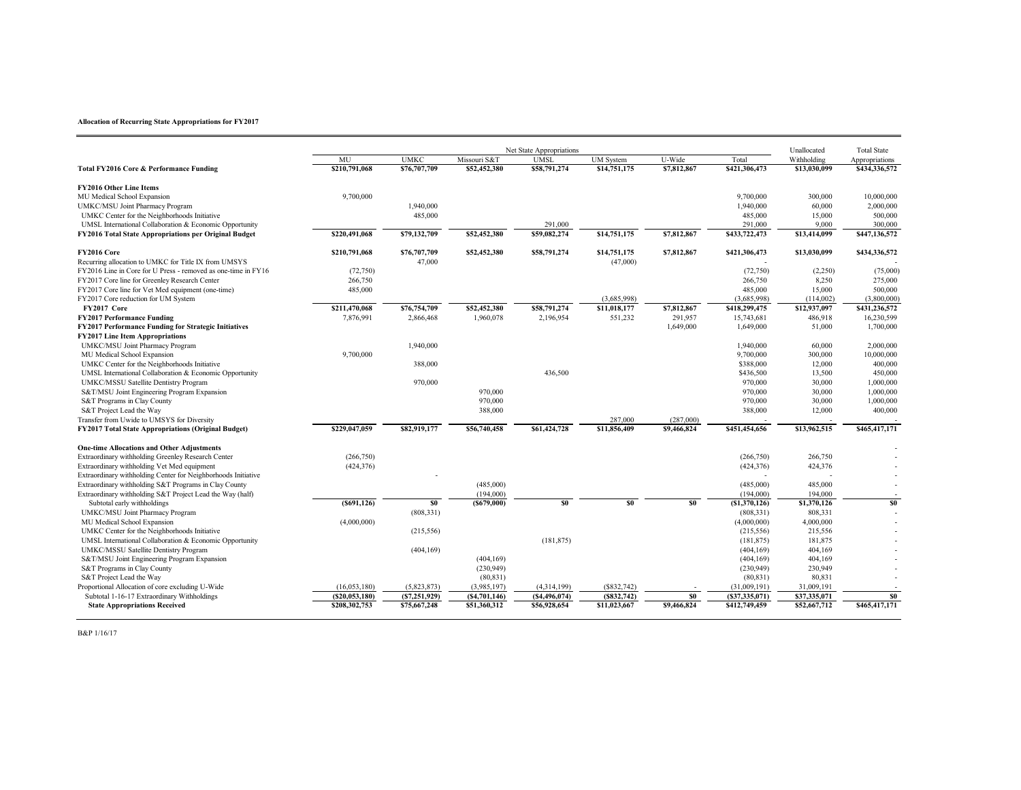|                                                               |                 | Net State Appropriations |                  |                |                  |             |                 |              |                |  |
|---------------------------------------------------------------|-----------------|--------------------------|------------------|----------------|------------------|-------------|-----------------|--------------|----------------|--|
|                                                               | MU              | <b>UMKC</b>              | Missouri S&T     | <b>UMSL</b>    | <b>UM</b> System | U-Wide      | Total           | Withholding  | Appropriations |  |
| Total FY2016 Core & Performance Funding                       | \$210,791,068   | \$76,707,709             | \$52,452,380     | \$58,791,274   | \$14,751,175     | \$7,812,867 | \$421,306,473   | \$13,030,099 | \$434,336,572  |  |
| <b>FY2016 Other Line Items</b>                                |                 |                          |                  |                |                  |             |                 |              |                |  |
| MU Medical School Expansion                                   | 9,700,000       |                          |                  |                |                  |             | 9,700,000       | 300,000      | 10,000,000     |  |
| <b>UMKC/MSU Joint Pharmacy Program</b>                        |                 | 1,940,000                |                  |                |                  |             | 1.940.000       | 60,000       | 2,000,000      |  |
| UMKC Center for the Neighborhoods Initiative                  |                 | 485,000                  |                  |                |                  |             | 485,000         | 15,000       | 500,000        |  |
| UMSL International Collaboration & Economic Opportunity       |                 |                          |                  | 291.000        |                  |             | 291,000         | 9,000        | 300,000        |  |
| FY2016 Total State Appropriations per Original Budget         | \$220,491,068   | \$79,132,709             | \$52,452,380     | \$59,082,274   | \$14,751,175     | \$7,812,867 | \$433,722,473   | \$13,414,099 | \$447,136,572  |  |
| <b>FY2016 Core</b>                                            | \$210,791,068   | \$76,707,709             | \$52,452,380     | \$58,791,274   | \$14,751,175     | \$7,812,867 | \$421,306,473   | \$13,030,099 | \$434,336,572  |  |
| Recurring allocation to UMKC for Title IX from UMSYS          |                 | 47,000                   |                  |                | (47,000)         |             |                 |              |                |  |
| FY2016 Line in Core for U Press - removed as one-time in FY16 | (72, 750)       |                          |                  |                |                  |             | (72, 750)       | (2,250)      | (75,000)       |  |
| FY2017 Core line for Greenley Research Center                 | 266,750         |                          |                  |                |                  |             | 266,750         | 8,250        | 275,000        |  |
| FY2017 Core line for Vet Med equipment (one-time)             | 485,000         |                          |                  |                |                  |             | 485,000         | 15,000       | 500,000        |  |
| FY2017 Core reduction for UM System                           |                 |                          |                  |                | (3,685,998)      |             | (3,685,998)     | (114,002)    | (3,800,000)    |  |
| <b>FY2017 Core</b>                                            | \$211,470,068   | \$76,754,709             | \$52,452,380     | \$58,791,274   | \$11,018,177     | \$7,812,867 | \$418,299,475   | \$12,937,097 | \$431.236.572  |  |
| <b>FY2017 Performance Funding</b>                             | 7,876,991       | 2,866,468                | 1,960,078        | 2,196,954      | 551,232          | 291,957     | 15,743,681      | 486,918      | 16,230,599     |  |
| FY2017 Performance Funding for Strategic Initiatives          |                 |                          |                  |                |                  | 1,649,000   | 1,649,000       | 51,000       | 1,700,000      |  |
| <b>FY2017 Line Item Appropriations</b>                        |                 |                          |                  |                |                  |             |                 |              |                |  |
| UMKC/MSU Joint Pharmacy Program                               |                 | 1,940,000                |                  |                |                  |             | 1,940,000       | 60,000       | 2,000,000      |  |
| MU Medical School Expansion                                   | 9,700,000       |                          |                  |                |                  |             | 9,700,000       | 300,000      | 10,000,000     |  |
| UMKC Center for the Neighborhoods Initiative                  |                 | 388,000                  |                  |                |                  |             | \$388,000       | 12,000       | 400,000        |  |
| UMSL International Collaboration & Economic Opportunity       |                 |                          |                  | 436,500        |                  |             | \$436,500       | 13,500       | 450,000        |  |
| UMKC/MSSU Satellite Dentistry Program                         |                 | 970,000                  |                  |                |                  |             | 970,000         | 30,000       | 1,000,000      |  |
| S&T/MSU Joint Engineering Program Expansion                   |                 |                          | 970,000          |                |                  |             | 970,000         | 30,000       | 1,000,000      |  |
| S&T Programs in Clay County                                   |                 |                          | 970,000          |                |                  |             | 970,000         | 30,000       | 1,000,000      |  |
| S&T Project Lead the Way                                      |                 |                          | 388,000          |                |                  |             | 388,000         | 12,000       | 400,000        |  |
| Transfer from Uwide to UMSYS for Diversity                    |                 |                          |                  |                | 287,000          | (287,000)   |                 |              |                |  |
| <b>FY2017 Total State Appropriations (Original Budget)</b>    | \$229,047,059   | \$82,919,177             | \$56,740,458     | \$61,424,728   | \$11,856,409     | \$9,466,824 | \$451,454,656   | \$13,962,515 | \$465,417,171  |  |
| <b>One-time Allocations and Other Adjustments</b>             |                 |                          |                  |                |                  |             |                 |              |                |  |
| Extraordinary withholding Greenley Research Center            | (266, 750)      |                          |                  |                |                  |             | (266, 750)      | 266,750      |                |  |
| Extraordinary withholding Vet Med equipment                   | (424, 376)      |                          |                  |                |                  |             | (424, 376)      | 424,376      |                |  |
| Extraordinary withholding Center for Neighborhoods Initiative |                 |                          |                  |                |                  |             |                 |              |                |  |
| Extraordinary withholding S&T Programs in Clay County         |                 |                          | (485,000)        |                |                  |             | (485,000)       | 485,000      |                |  |
| Extraordinary withholding S&T Project Lead the Way (half)     |                 |                          | (194,000)        |                |                  |             | (194,000)       | 194,000      |                |  |
| Subtotal early withholdings                                   | (S691, 126)     | S <sub>0</sub>           | (S679,000)       | \$0            | \$0              | \$0         | (S1,370,126)    | \$1,370,126  | \$0            |  |
| UMKC/MSU Joint Pharmacy Program                               |                 | (808, 331)               |                  |                |                  |             | (808, 331)      | 808,331      |                |  |
| MU Medical School Expansion                                   | (4,000,000)     |                          |                  |                |                  |             | (4,000,000)     | 4,000,000    |                |  |
| UMKC Center for the Neighborhoods Initiative                  |                 | (215, 556)               |                  |                |                  |             | (215, 556)      | 215,556      |                |  |
| UMSL International Collaboration & Economic Opportunity       |                 |                          |                  | (181, 875)     |                  |             | (181, 875)      | 181,875      |                |  |
| UMKC/MSSU Satellite Dentistry Program                         |                 | (404, 169)               |                  |                |                  |             | (404, 169)      | 404,169      |                |  |
| S&T/MSU Joint Engineering Program Expansion                   |                 |                          | (404, 169)       |                |                  |             | (404, 169)      | 404,169      |                |  |
| S&T Programs in Clay County                                   |                 |                          | (230,949)        |                |                  |             | (230,949)       | 230,949      |                |  |
| S&T Project Lead the Way                                      |                 |                          | (80, 831)        |                |                  |             | (80, 831)       | 80,831       |                |  |
| Proportional Allocation of core excluding U-Wide              | (16,053,180)    | (5,823,873)              | (3,985,197)      | (4,314,199)    | (S832, 742)      |             | (31,009,191)    | 31,009,191   |                |  |
| Subtotal 1-16-17 Extraordinary Withholdings                   | (S20, 053, 180) | (S7, 251, 929)           | ( \$4, 701, 146) | (S4, 496, 074) | (S832,742)       | \$0         | (S37, 335, 071) | \$37,335,071 | \$0            |  |
| <b>State Appropriations Received</b>                          | \$208,302,753   | \$75,667,248             | \$51,360,312     | \$56,928,654   | \$11,023,667     | \$9,466,824 | \$412,749,459   | \$52,667,712 | \$465,417,171  |  |

B&P 1/16/17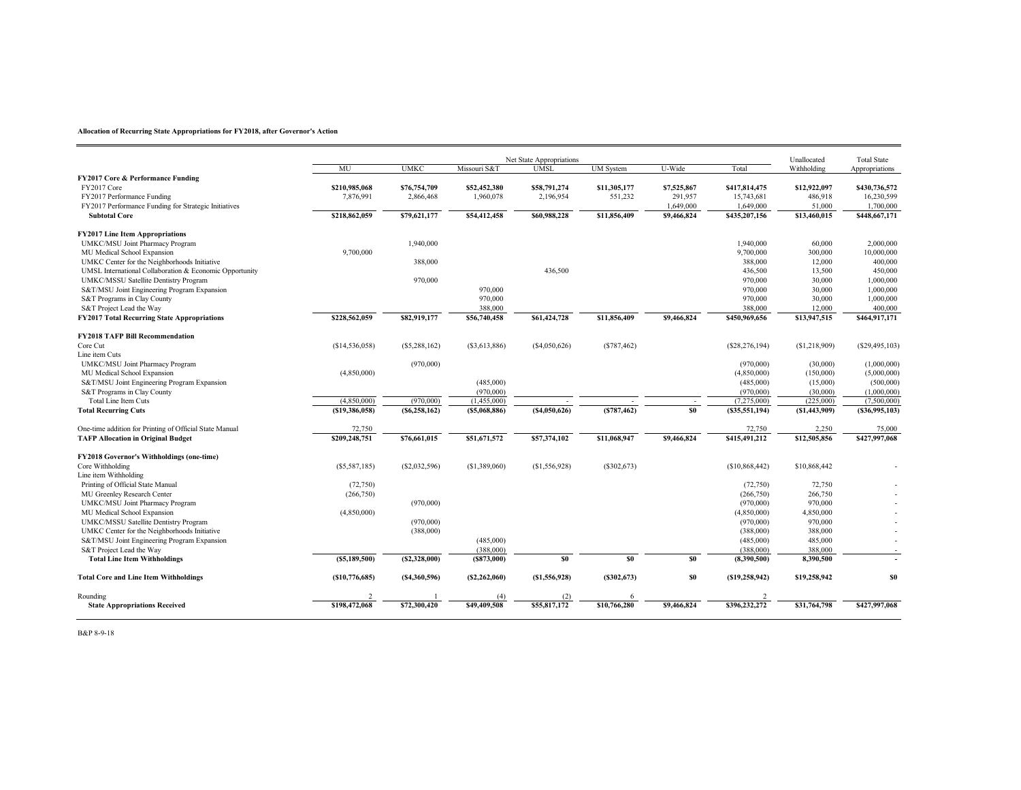## **Allocation of Recurring State Appropriations for FY2018, after Governor's Action**

|                                                         | Net State Appropriations |                 |                |                  |                  |                |                   |                | <b>Total State</b> |
|---------------------------------------------------------|--------------------------|-----------------|----------------|------------------|------------------|----------------|-------------------|----------------|--------------------|
|                                                         | MU                       | <b>UMKC</b>     | Missouri S&1   | <b>UMSI</b>      | <b>UM</b> System | U-Wide         | Total             | Withholding    | Appropriations     |
| FY2017 Core & Performance Funding                       |                          |                 |                |                  |                  |                |                   |                |                    |
| FY2017 Core                                             | \$210,985,068            | \$76,754,709    | \$52,452,380   | \$58,791,274     | \$11,305,177     | \$7,525,867    | \$417,814,475     | \$12,922,097   | \$430,736,572      |
| FY2017 Performance Funding                              | 7,876,991                | 2,866,468       | 1,960,078      | 2,196,954        | 551,232          | 291,957        | 15,743,681        | 486,918        | 16,230,599         |
| FY2017 Performance Funding for Strategic Initiatives    |                          |                 |                |                  |                  | 1,649,000      | 1,649,000         | 51,000         | 1,700,000          |
| <b>Subtotal Core</b>                                    | \$218,862,059            | \$79,621,177    | \$54,412,458   | \$60,988,228     | \$11,856,409     | \$9,466,824    | \$435,207,156     | \$13,460,015   | \$448,667,171      |
| <b>FY2017 Line Item Appropriations</b>                  |                          |                 |                |                  |                  |                |                   |                |                    |
| UMKC/MSU Joint Pharmacy Program                         |                          | 1,940,000       |                |                  |                  |                | 1,940,000         | 60,000         | 2,000,000          |
| MU Medical School Expansion                             | 9,700,000                |                 |                |                  |                  |                | 9,700,000         | 300,000        | 10,000,000         |
| UMKC Center for the Neighborhoods Initiative            |                          | 388,000         |                |                  |                  |                | 388,000           | 12,000         | 400,000            |
| UMSL International Collaboration & Economic Opportunity |                          |                 |                | 436,500          |                  |                | 436,500           | 13,500         | 450,000            |
| UMKC/MSSU Satellite Dentistry Program                   |                          | 970,000         |                |                  |                  |                | 970,000           | 30,000         | 1,000,000          |
| S&T/MSU Joint Engineering Program Expansion             |                          |                 | 970,000        |                  |                  |                | 970,000           | 30,000         | 1,000,000          |
| S&T Programs in Clay County                             |                          |                 | 970,000        |                  |                  |                | 970,000           | 30,000         | 1,000,000          |
| S&T Project Lead the Way                                |                          |                 | 388,000        |                  |                  |                | 388,000           | 12,000         | 400,000            |
| <b>FY2017 Total Recurring State Appropriations</b>      | \$228,562,059            | \$82,919,177    | \$56,740,458   | \$61,424,728     | \$11,856,409     | \$9,466,824    | \$450,969,656     | \$13,947,515   | \$464,917,171      |
| <b>FY2018 TAFP Bill Recommendation</b>                  |                          |                 |                |                  |                  |                |                   |                |                    |
| Core Cut                                                | (\$14,536,058)           | $(\$5,288,162)$ | (\$3,613,886)  | (\$4,050,626)    | (\$787,462)      |                | (S28, 276, 194)   | (S1, 218, 909) | (\$29,495,103)     |
| Line item Cuts                                          |                          |                 |                |                  |                  |                |                   |                |                    |
| UMKC/MSU Joint Pharmacy Program                         |                          | (970,000)       |                |                  |                  |                | (970,000)         | (30,000)       | (1,000,000)        |
| MU Medical School Expansion                             | (4,850,000)              |                 |                |                  |                  |                | (4,850,000)       | (150,000)      | (5,000,000)        |
| S&T/MSU Joint Engineering Program Expansion             |                          |                 | (485,000)      |                  |                  |                | (485,000)         | (15,000)       | (500,000)          |
| S&T Programs in Clay County                             |                          |                 | (970,000)      |                  |                  |                | (970,000)         | (30,000)       | (1,000,000)        |
| Total Line Item Cuts                                    | (4,850,000)              | (970,000)       | (1,455,000)    |                  |                  |                | (7,275,000)       | (225,000)      | (7,500,000)        |
| <b>Total Recurring Cuts</b>                             | (S19, 386, 058)          | (S6, 258, 162)  | (S5,068,886)   | $($ \$4,050,626) | (S787, 462)      | \$0            | $($ \$35,551,194) | (S1, 443, 909) | $($ \$36,995,103)  |
| One-time addition for Printing of Official State Manual | 72,750                   |                 |                |                  |                  |                | 72,750            | 2,250          | 75,000             |
| <b>TAFP Allocation in Original Budget</b>               | \$209,248,751            | \$76,661,015    | \$51,671,572   | \$57,374,102     | \$11,068,947     | \$9,466,824    | \$415,491,212     | \$12,505,856   | \$427,997,068      |
| FY2018 Governor's Withholdings (one-time)               |                          |                 |                |                  |                  |                |                   |                |                    |
| Core Withholding                                        | $(\$5,587,185)$          | (S2,032,596)    | (\$1,389,060)  | (\$1,556,928)    | (\$302,673)      |                | (\$10,868,442)    | \$10,868,442   |                    |
| Line item Withholding                                   |                          |                 |                |                  |                  |                |                   |                |                    |
| Printing of Official State Manual                       | (72,750)                 |                 |                |                  |                  |                | (72,750)          | 72,750         |                    |
| MU Greenley Research Center                             | (266,750)                |                 |                |                  |                  |                | (266,750)         | 266,750        |                    |
| UMKC/MSU Joint Pharmacy Program                         |                          | (970,000)       |                |                  |                  |                | (970,000)         | 970,000        |                    |
| MU Medical School Expansion                             | (4,850,000)              |                 |                |                  |                  |                | (4,850,000)       | 4,850,000      |                    |
| UMKC/MSSU Satellite Dentistry Program                   |                          | (970,000)       |                |                  |                  |                | (970,000)         | 970,000        |                    |
| UMKC Center for the Neighborhoods Initiative            |                          | (388,000)       |                |                  |                  |                | (388,000)         | 388,000        |                    |
| S&T/MSU Joint Engineering Program Expansion             |                          |                 | (485,000)      |                  |                  |                | (485,000)         | 485,000        |                    |
| S&T Project Lead the Way                                |                          |                 | (388,000)      |                  |                  |                | (388,000)         | 388,000        |                    |
| <b>Total Line Item Withholdings</b>                     | (S5, 189, 500)           | (S2, 328, 000)  | (S873,000)     | \$0              | \$0              | \$0            | (8,390,500)       | 8,390,500      |                    |
| <b>Total Core and Line Item Withholdings</b>            | ( \$10,776,685)          | (S4,360,596)    | (S2, 262, 060) | (S1, 556, 928)   | (S302, 673)      | S <sub>0</sub> | (S19, 258, 942)   | \$19,258,942   | \$0                |
| Rounding                                                |                          |                 | (4)            | (2)              | -6               |                |                   |                |                    |
| <b>State Appropriations Received</b>                    | \$198,472,068            | \$72,300,420    | \$49,409,508   | \$55,817,172     | \$10,766,280     | \$9,466,824    | \$396,232,272     | \$31,764,798   | \$427,997,068      |

B&P 8-9-18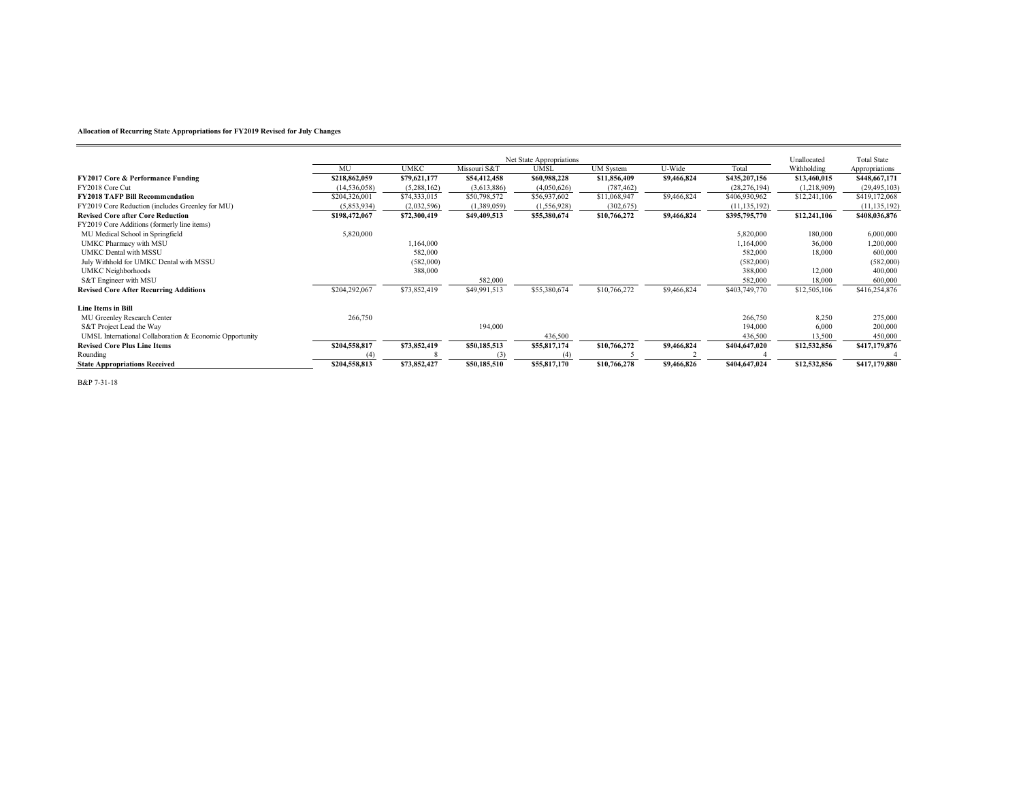## **Allocation of Recurring State Appropriations for FY2019 Revised for July Changes**

|                                                         | Net State Appropriations |              |              |              |                  |             |                |              | <b>Total State</b> |
|---------------------------------------------------------|--------------------------|--------------|--------------|--------------|------------------|-------------|----------------|--------------|--------------------|
|                                                         | MU                       | <b>UMKC</b>  | Missouri S&T | <b>UMSL</b>  | <b>UM</b> System | U-Wide      | Total          | Withholding  | Appropriations     |
| <b>FY2017 Core &amp; Performance Funding</b>            | \$218,862,059            | \$79,621,177 | \$54,412,458 | \$60,988,228 | \$11,856,409     | \$9,466,824 | \$435,207,156  | \$13,460,015 | \$448,667,171      |
| FY2018 Core Cut                                         | (14, 536, 058)           | (5,288,162)  | (3,613,886)  | (4,050,626)  | (787, 462)       |             | (28, 276, 194) | (1,218,909)  | (29, 495, 103)     |
| <b>FY2018 TAFP Bill Recommendation</b>                  | \$204,326,001            | \$74,333,015 | \$50,798,572 | \$56,937,602 | \$11,068,947     | \$9,466,824 | \$406,930,962  | \$12,241,106 | \$419,172,068      |
| FY2019 Core Reduction (includes Greenley for MU)        | (5,853,934)              | (2,032,596)  | (1,389,059)  | (1,556,928)  | (302, 675)       |             | (11, 135, 192) |              | (11, 135, 192)     |
| <b>Revised Core after Core Reduction</b>                | \$198,472,067            | \$72,300,419 | \$49,409,513 | \$55,380,674 | \$10,766,272     | \$9,466,824 | \$395,795,770  | \$12,241,106 | \$408,036,876      |
| FY2019 Core Additions (formerly line items)             |                          |              |              |              |                  |             |                |              |                    |
| MU Medical School in Springfield                        | 5,820,000                |              |              |              |                  |             | 5,820,000      | 180,000      | 6,000,000          |
| UMKC Pharmacy with MSU                                  |                          | ,164,000     |              |              |                  |             | 1,164,000      | 36,000       | 1,200,000          |
| <b>UMKC Dental with MSSU</b>                            |                          | 582,000      |              |              |                  |             | 582,000        | 18,000       | 600,000            |
| July Withhold for UMKC Dental with MSSU                 |                          | (582,000)    |              |              |                  |             | (582,000)      |              | (582,000)          |
| <b>UMKC</b> Neighborhoods                               |                          | 388,000      |              |              |                  |             | 388,000        | 12,000       | 400,000            |
| S&T Engineer with MSU                                   |                          |              | 582,000      |              |                  |             | 582,000        | 18,000       | 600,000            |
| <b>Revised Core After Recurring Additions</b>           | \$204,292,067            | \$73,852,419 | \$49,991,513 | \$55,380,674 | \$10,766,272     | \$9,466,824 | \$403,749,770  | \$12,505,106 | \$416,254,876      |
| <b>Line Items in Bill</b>                               |                          |              |              |              |                  |             |                |              |                    |
| MU Greenley Research Center                             | 266,750                  |              |              |              |                  |             | 266,750        | 8,250        | 275,000            |
| S&T Project Lead the Way                                |                          |              | 194,000      |              |                  |             | 194,000        | 6,000        | 200,000            |
| UMSL International Collaboration & Economic Opportunity |                          |              |              | 436,500      |                  |             | 436,500        | 13,500       | 450,000            |
| <b>Revised Core Plus Line Items</b>                     | \$204,558,817            | \$73,852,419 | \$50,185,513 | \$55,817,174 | \$10,766,272     | \$9,466,824 | \$404,647,020  | \$12,532,856 | \$417,179,876      |
| Rounding                                                |                          |              | (3)          |              |                  |             |                |              |                    |
| <b>State Appropriations Received</b>                    | \$204,558,813            | \$73,852,427 | \$50,185,510 | \$55,817,170 | \$10,766,278     | \$9,466,826 | \$404,647,024  | \$12,532,856 | \$417,179,880      |

B&P 7-31-18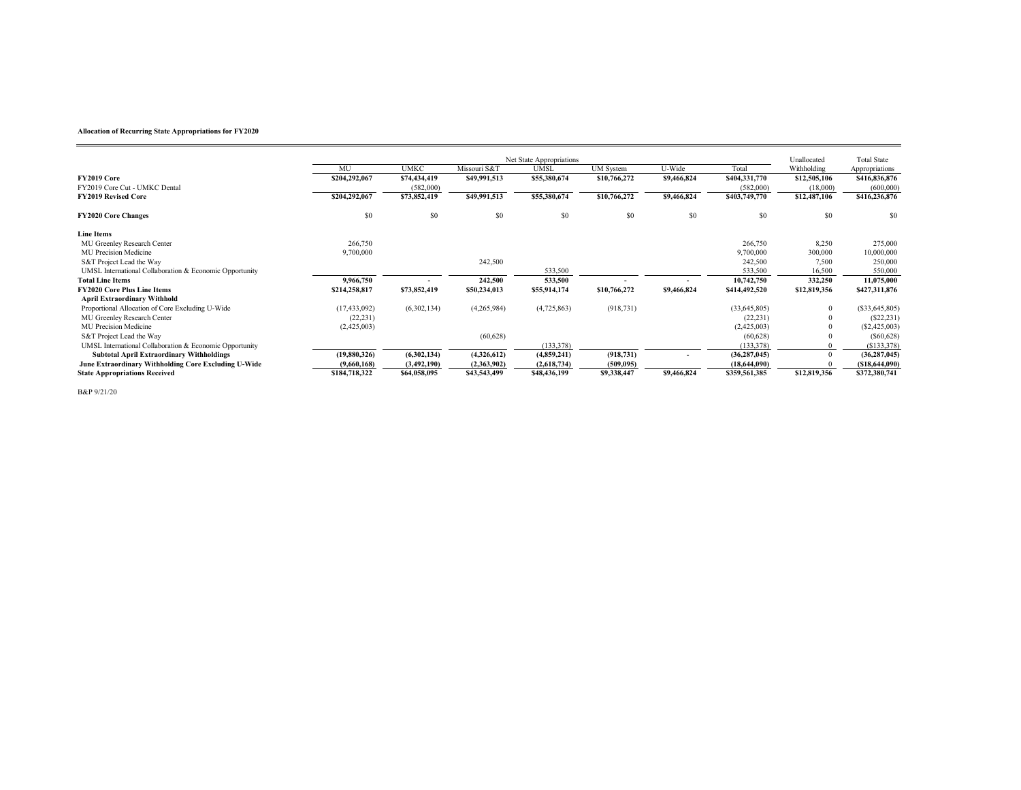|                                                         | Net State Appropriations |              |              |              |                  |             |                | Unallocated  | <b>Total State</b> |
|---------------------------------------------------------|--------------------------|--------------|--------------|--------------|------------------|-------------|----------------|--------------|--------------------|
|                                                         | MU                       | <b>UMKC</b>  | Missouri S&T | <b>UMSL</b>  | <b>UM</b> System | U-Wide      | Total          | Withholding  | Appropriations     |
| FY2019 Core                                             | \$204,292,067            | \$74,434,419 | \$49,991,513 | \$55,380,674 | \$10,766,272     | \$9,466,824 | \$404,331,770  | \$12,505,106 | \$416,836,876      |
| FY2019 Core Cut - UMKC Dental                           |                          | (582,000)    |              |              |                  |             | (582,000)      | (18,000)     | (600,000)          |
| <b>FY2019 Revised Core</b>                              | \$204,292,067            | \$73,852,419 | \$49,991,513 | \$55,380,674 | \$10,766,272     | \$9,466,824 | \$403,749,770  | \$12,487,106 | \$416,236,876      |
| <b>FY2020 Core Changes</b>                              | \$0                      | \$0          | \$0          | \$0          | S <sub>0</sub>   | \$0         | \$0            | \$0          | \$0                |
| <b>Line Items</b>                                       |                          |              |              |              |                  |             |                |              |                    |
| MU Greenley Research Center                             | 266,750                  |              |              |              |                  |             | 266,750        | 8,250        | 275,000            |
| MU Precision Medicine                                   | 9,700,000                |              |              |              |                  |             | 9,700,000      | 300,000      | 10,000,000         |
| S&T Project Lead the Way                                |                          |              | 242,500      |              |                  |             | 242,500        | 7,500        | 250,000            |
| UMSL International Collaboration & Economic Opportunity |                          |              |              | 533,500      |                  |             | 533,500        | 16,500       | 550,000            |
| <b>Total Line Items</b>                                 | 9,966,750                |              | 242,500      | 533,500      |                  |             | 10,742,750     | 332,250      | 11,075,000         |
| <b>FY2020 Core Plus Line Items</b>                      | \$214,258,817            | \$73,852,419 | \$50,234,013 | \$55,914,174 | \$10,766,272     | \$9,466,824 | \$414,492,520  | \$12,819,356 | \$427,311,876      |
| <b>April Extraordinary Withhold</b>                     |                          |              |              |              |                  |             |                |              |                    |
| Proportional Allocation of Core Excluding U-Wide        | (17, 433, 092)           | (6,302,134)  | (4,265,984)  | (4,725,863)  | (918, 731)       |             | (33, 645, 805) | $\mathbf{0}$ | (S33, 645, 805)    |
| MU Greenley Research Center                             | (22, 231)                |              |              |              |                  |             | (22, 231)      | $\Omega$     | (S22, 231)         |
| MU Precision Medicine                                   | (2,425,003)              |              |              |              |                  |             | (2,425,003)    | $\mathbf{0}$ | $(\$2,425,003)$    |
| S&T Project Lead the Way                                |                          |              | (60, 628)    |              |                  |             | (60, 628)      |              | (S60, 628)         |
| UMSL International Collaboration & Economic Opportunity |                          |              |              | (133, 378)   |                  |             | (133, 378)     |              | (S133, 378)        |
| <b>Subtotal April Extraordinary Withholdings</b>        | (19,880,326)             | (6,302,134)  | (4,326,612)  | (4,859,241)  | (918, 731)       |             | (36, 287, 045) | $\Omega$     | (36, 287, 045)     |
| June Extraordinary Withholding Core Excluding U-Wide    | (9,660,168)              | (3,492,190)  | (2,363,902)  | (2,618,734)  | (509, 095)       |             | (18,644,090)   |              | (S18,644,090)      |
| <b>State Appropriations Received</b>                    | \$184,718,322            | \$64,058,095 | \$43,543,499 | \$48,436,199 | \$9,338,447      | \$9,466,824 | \$359,561,385  | \$12,819,356 | \$372,380,741      |

B&P 9/21/20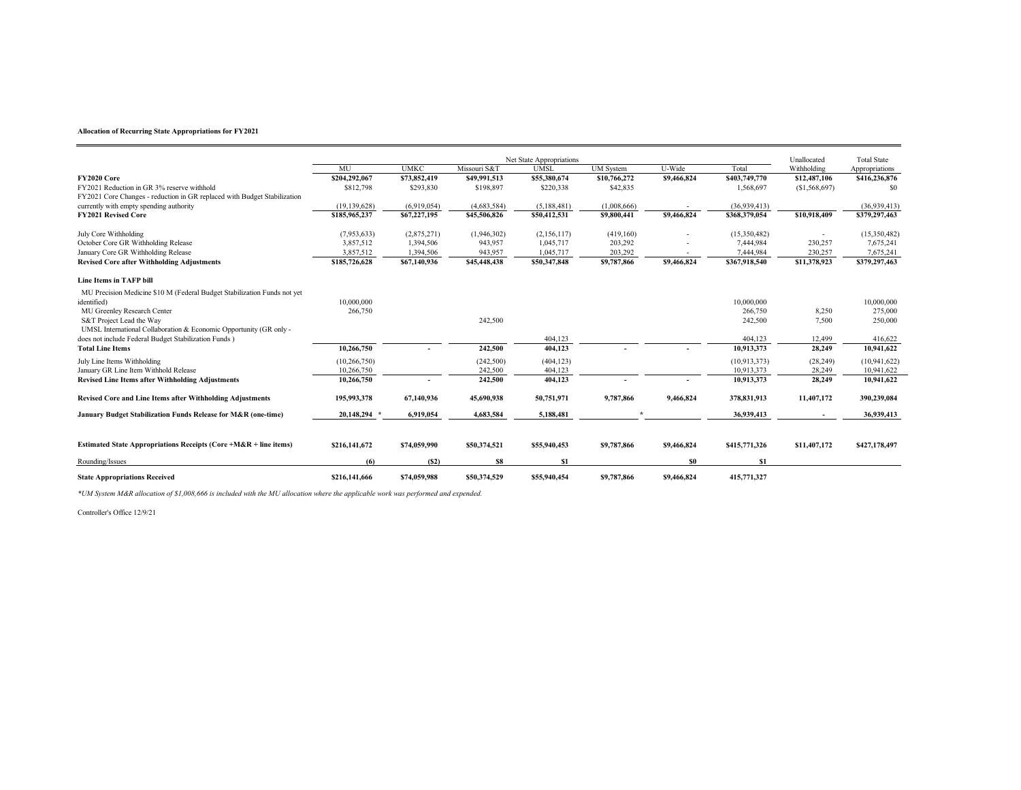|                                                                          |                |              | Unallocated  | <b>Total State</b> |                  |                |               |                |                |
|--------------------------------------------------------------------------|----------------|--------------|--------------|--------------------|------------------|----------------|---------------|----------------|----------------|
|                                                                          | MU             | <b>UMKC</b>  | Missouri S&T | <b>UMSL</b>        | <b>UM</b> System | U-Wide         | Total         | Withholding    | Appropriations |
| <b>FY2020 Core</b>                                                       | \$204,292,067  | \$73,852,419 | \$49,991,513 | \$55,380,674       | \$10,766,272     | \$9,466,824    | \$403,749,770 | \$12,487,106   | \$416,236,876  |
| FY2021 Reduction in GR 3% reserve withhold                               | \$812,798      | \$293,830    | \$198,897    | \$220,338          | \$42,835         |                | 1,568,697     | (S1, 568, 697) | S <sub>0</sub> |
| FY2021 Core Changes - reduction in GR replaced with Budget Stabilization |                |              |              |                    |                  |                |               |                |                |
| currently with empty spending authority                                  | (19, 139, 628) | (6,919,054)  | (4,683,584)  | (5,188,481)        | (1,008,666)      |                | (36,939,413)  |                | (36,939,413)   |
| <b>FY2021 Revised Core</b>                                               | \$185,965,237  | \$67,227,195 | \$45,506,826 | \$50,412,531       | \$9,800,441      | \$9,466,824    | \$368,379,054 | \$10,918,409   | \$379,297,463  |
| July Core Withholding                                                    | (7,953,633)    | (2,875,271)  | (1,946,302)  | (2,156,117)        | (419,160)        |                | (15,350,482)  |                | (15,350,482)   |
| October Core GR Withholding Release                                      | 3,857,512      | 1,394,506    | 943,957      | 1,045,717          | 203,292          |                | 7.444.984     | 230,257        | 7,675,241      |
| January Core GR Withholding Release                                      | 3,857,512      | 1,394,506    | 943,957      | 1,045,717          | 203,292          |                | 7,444,984     | 230,257        | 7,675,241      |
| <b>Revised Core after Withholding Adjustments</b>                        | \$185,726,628  | \$67,140,936 | \$45,448,438 | \$50,347,848       | \$9,787,866      | \$9,466,824    | \$367,918,540 | \$11,378,923   | \$379,297,463  |
| Line Items in TAFP bill                                                  |                |              |              |                    |                  |                |               |                |                |
| MU Precision Medicine \$10 M (Federal Budget Stabilization Funds not yet |                |              |              |                    |                  |                |               |                |                |
| identified)                                                              | 10,000,000     |              |              |                    |                  |                | 10,000,000    |                | 10,000,000     |
| MU Greenley Research Center                                              | 266,750        |              |              |                    |                  |                | 266,750       | 8,250          | 275,000        |
| S&T Project Lead the Way                                                 |                |              | 242,500      |                    |                  |                | 242,500       | 7,500          | 250,000        |
| UMSL International Collaboration & Economic Opportunity (GR only -       |                |              |              |                    |                  |                |               |                |                |
| does not include Federal Budget Stabilization Funds)                     |                |              |              | 404,123            |                  |                | 404,123       | 12,499         | 416,622        |
| <b>Total Line Items</b>                                                  | 10,266,750     |              | 242,500      | 404,123            |                  |                | 10,913,373    | 28,249         | 10,941,622     |
| July Line Items Withholding                                              | (10, 266, 750) |              | (242,500)    | (404, 123)         |                  |                | (10.913.373)  | (28, 249)      | (10, 941, 622) |
| January GR Line Item Withhold Release                                    | 10,266,750     |              | 242,500      | 404,123            |                  |                | 10,913,373    | 28,249         | 10.941.622     |
| <b>Revised Line Items after Withholding Adjustments</b>                  | 10,266,750     |              | 242,500      | 404,123            |                  |                | 10,913,373    | 28,249         | 10,941,622     |
| Revised Core and Line Items after Withholding Adjustments                | 195,993,378    | 67,140,936   | 45,690,938   | 50,751,971         | 9,787,866        | 9,466,824      | 378,831,913   | 11,407,172     | 390,239,084    |
| January Budget Stabilization Funds Release for M&R (one-time)            | $20,148,294$ * | 6,919,054    | 4,683,584    | 5,188,481          |                  |                | 36,939,413    |                | 36,939,413     |
|                                                                          |                |              |              |                    |                  |                |               |                |                |
| Estimated State Appropriations Receipts (Core +M&R + line items)         | \$216,141,672  | \$74,059,990 | \$50,374,521 | \$55,940,453       | \$9,787,866      | \$9,466,824    | \$415,771,326 | \$11,407,172   | \$427,178,497  |
| Rounding/Issues                                                          | (6)            | (S2)         | \$8          | \$1                |                  | S <sub>0</sub> | \$1           |                |                |
| <b>State Appropriations Received</b>                                     | \$216,141,666  | \$74,059,988 | \$50,374,529 | \$55,940,454       | \$9,787,866      | \$9,466,824    | 415,771,327   |                |                |

*\*UM System M&R allocation of \$1,008,666 is included with the MU allocation where the applicable work was performed and expended.*

Controller's Office 12/9/21